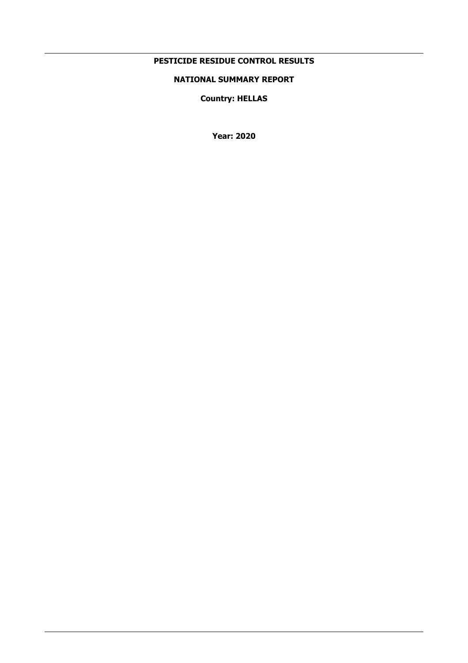# **PESTICIDE RESIDUE CONTROL RESULTS**

# **NATIONAL SUMMARY REPORT**

**Country: HELLAS** 

**Year: 2020**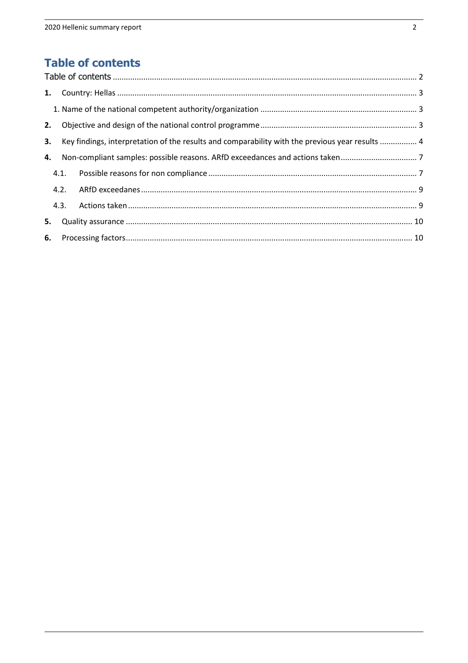# **Table of contents**

| 2. |      |                                                                                                    |  |
|----|------|----------------------------------------------------------------------------------------------------|--|
|    |      | 3. Key findings, interpretation of the results and comparability with the previous year results  4 |  |
|    |      |                                                                                                    |  |
|    |      |                                                                                                    |  |
|    | 4.2. |                                                                                                    |  |
|    | 4.3. |                                                                                                    |  |
| 5. |      |                                                                                                    |  |
|    |      |                                                                                                    |  |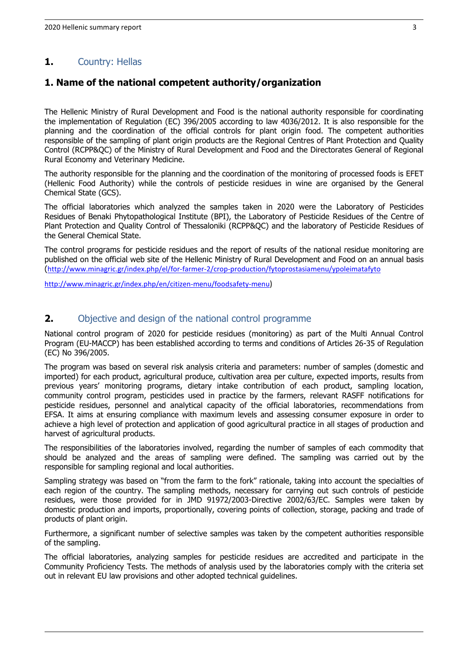# **1.** Country: Hellas

# **1. Name of the national competent authority/organization**

The Hellenic Ministry of Rural Development and Food is the national authority responsible for coordinating the implementation of Regulation (EC) 396/2005 according to law 4036/2012. It is also responsible for the planning and the coordination of the official controls for plant origin food. The competent authorities responsible of the sampling of plant origin products are the Regional Centres of Plant Protection and Quality Control (RCPP&QC) of the Ministry of Rural Development and Food and the Directorates General of Regional Rural Economy and Veterinary Medicine.

The authority responsible for the planning and the coordination of the monitoring of processed foods is EFET (Hellenic Food Authority) while the contrοls of pesticide residues in wine are organised by the General Chemical State (GCS).

The official laboratories which analyzed the samples taken in 2020 were the Laboratory of Pesticides Residues of Benaki Phytopathological Institute (BPI), the Laboratory of Pesticide Residues of the Centre of Plant Protection and Quality Control of Thessaloniki (RCPP&QC) and the laboratory of Pesticide Residues of the General Chemical State.

The control programs for pesticide residues and the report of results of the national residue monitoring are published on the official web site of the Hellenic Ministry of Rural Development and Food on an annual basis (http://www.minagric.gr/index.php/el/for-farmer-2/crop-production/fytoprostasiamenu/ypoleimatafyto

http://www.minagric.gr/index.php/en/citizen-menu/foodsafety-menu)

# **2.** Objective and design of the national control programme

National control program of 2020 for pesticide residues (monitoring) as part of the Multi Annual Control Program (EU-MACCP) has been established according to terms and conditions of Articles 26-35 of Regulation (EC) No 396/2005.

The program was based on several risk analysis criteria and parameters: number of samples (domestic and imported) for each product, agricultural produce, cultivation area per culture, expected imports, results from previous years' monitoring programs, dietary intake contribution of each product, sampling location, community control program, pesticides used in practice by the farmers, relevant RASFF notifications for pesticide residues, personnel and analytical capacity of the official laboratories, recommendations from EFSA. It aims at ensuring compliance with maximum levels and assessing consumer exposure in order to achieve a high level of protection and application of good agricultural practice in all stages of production and harvest of agricultural products.

The responsibilities of the laboratories involved, regarding the number of samples of each commodity that should be analyzed and the areas of sampling were defined. The sampling was carried out by the responsible for sampling regional and local authorities.

Sampling strategy was based on "from the farm to the fork" rationale, taking into account the specialties of each region of the country. The sampling methods, necessary for carrying out such controls of pesticide residues, were those provided for in JMD 91972/2003-Directive 2002/63/EC. Samples were taken by domestic production and imports, proportionally, covering points of collection, storage, packing and trade of products of plant origin.

Furthermore, a significant number of selective samples was taken by the competent authorities responsible of the sampling.

The official laboratories, analyzing samples for pesticide residues are accredited and participate in the Community Proficiency Tests. The methods of analysis used by the laboratories comply with the criteria set out in relevant EU law provisions and other adopted technical guidelines.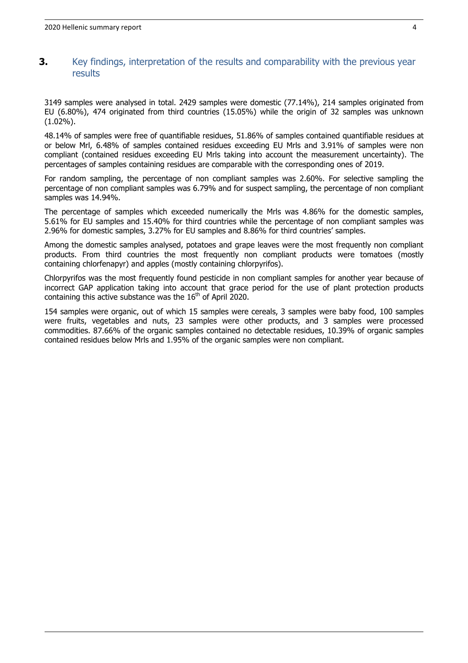### **3.** Key findings, interpretation of the results and comparability with the previous year results

3149 samples were analysed in total. 2429 samples were domestic (77.14%), 214 samples originated from EU (6.80%), 474 originated from third countries (15.05%) while the origin of 32 samples was unknown (1.02%).

48.14% of samples were free of quantifiable residues, 51.86% of samples contained quantifiable residues at or below Mrl, 6.48% of samples contained residues exceeding EU Mrls and 3.91% of samples were non compliant (contained residues exceeding EU Mrls taking into account the measurement uncertainty). The percentages of samples containing residues are comparable with the corresponding ones of 2019.

For random sampling, the percentage of non compliant samples was 2.60%. For selective sampling the percentage of non compliant samples was 6.79% and for suspect sampling, the percentage of non compliant samples was 14.94%.

The percentage of samples which exceeded numerically the Mrls was 4.86% for the domestic samples, 5.61% for EU samples and 15.40% for third countries while the percentage of non compliant samples was 2.96% for domestic samples, 3.27% for EU samples and 8.86% for third countries' samples.

Among the domestic samples analysed, potatoes and grape leaves were the most frequently non compliant products. From third countries the most frequently non compliant products were tomatoes (mostly containing chlorfenapyr) and apples (mostly containing chlorpyrifos).

Chlorpyrifos was the most frequently found pesticide in non compliant samples for another year because of incorrect GAP application taking into account that grace period for the use of plant protection products containing this active substance was the  $16<sup>th</sup>$  of April 2020.

154 samples were organic, out of which 15 samples were cereals, 3 samples were baby food, 100 samples were fruits, vegetables and nuts, 23 samples were other products, and 3 samples were processed commodities. 87.66% of the organic samples contained no detectable residues, 10.39% of organic samples contained residues below Mrls and 1.95% of the organic samples were non compliant.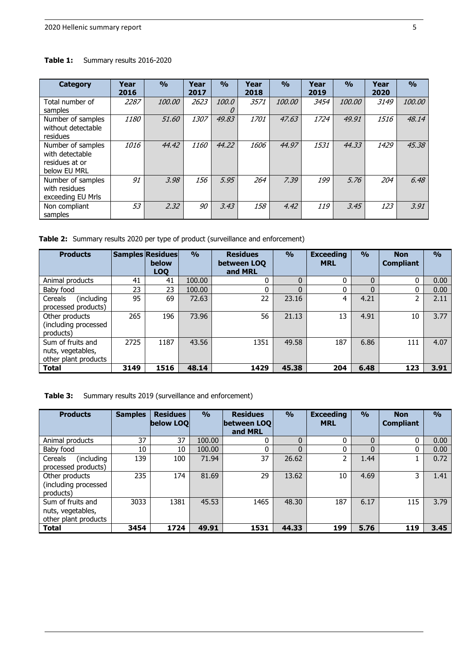Table 1: Summary results 2016-2020

| <b>Category</b>                                                        | Year<br>2016 | $\frac{0}{0}$ | Year<br>2017 | $\frac{0}{0}$    | Year<br>2018 | $\frac{0}{0}$ | Year<br>2019 | $\frac{0}{0}$ | Year<br>2020 | $\frac{0}{0}$ |
|------------------------------------------------------------------------|--------------|---------------|--------------|------------------|--------------|---------------|--------------|---------------|--------------|---------------|
| Total number of<br>samples                                             | 2287         | <i>100.00</i> | 2623         | 100.0<br>$\iota$ | 3571         | <i>100.00</i> | 3454         | 100.00        | 3149         | 100.00        |
| Number of samples<br>without detectable<br>residues                    | 1180         | 51.60         | 1307         | 49.83            | 1701         | 47.63         | 1724         | 49.91         | 1516         | 48.14         |
| Number of samples<br>with detectable<br>residues at or<br>below EU MRL | 1016         | 44.42         | 1160         | 44.22            | 1606         | 44.97         | 1531         | 44.33         | 1429         | 45.38         |
| Number of samples<br>with residues<br>exceeding EU Mrls                | 91           | 3.98          | 156          | 5.95             | 264          | 7.39          | 199          | 5.76          | 204          | 6.48          |
| Non compliant<br>samples                                               | 53           | 2.32          | 90           | 3.43             | 158          | 4.42          | 119          | 3.45          | 123          | 3.91          |

Table 2: Summary results 2020 per type of product (surveillance and enforcement)

| <b>Products</b>                                                |      | <b>Samples Residues</b><br>below<br><b>LOO</b> | $\frac{0}{0}$ | <b>Residues</b><br>between LOO<br>and MRL | $\frac{0}{0}$ | <b>Exceeding</b><br><b>MRL</b> | $\frac{0}{0}$ | <b>Non</b><br><b>Compliant</b> | $\frac{0}{0}$ |
|----------------------------------------------------------------|------|------------------------------------------------|---------------|-------------------------------------------|---------------|--------------------------------|---------------|--------------------------------|---------------|
| Animal products                                                | 41   | 41                                             | 100.00        |                                           | $\Omega$      | 0                              | 0             | 0                              | 0.00          |
| Baby food                                                      | 23   | 23                                             | 100.00        |                                           |               |                                |               | 0                              | 0.00          |
| (including)<br>Cereals<br>processed products)                  | 95   | 69                                             | 72.63         | 22                                        | 23.16         | 4                              | 4.21          | 2                              | 2.11          |
| Other products<br>(including processed<br>products)            | 265  | 196                                            | 73.96         | 56                                        | 21.13         | 13                             | 4.91          | 10                             | 3.77          |
| Sum of fruits and<br>nuts, vegetables,<br>other plant products | 2725 | 1187                                           | 43.56         | 1351                                      | 49.58         | 187                            | 6.86          | 111                            | 4.07          |
| <b>Total</b>                                                   | 3149 | 1516                                           | 48.14         | 1429                                      | 45.38         | 204                            | 6.48          | 123                            | 3.91          |

| Table 3: |  | Summary results 2019 (surveillance and enforcement) |
|----------|--|-----------------------------------------------------|
|----------|--|-----------------------------------------------------|

| <b>Products</b>                                                | <b>Samples</b> | <b>Residues</b><br>below LOO | $\frac{0}{0}$ | <b>Residues</b><br><b>between LOO</b><br>and MRL | $\frac{0}{0}$ | <b>Exceeding</b><br><b>MRL</b> | $\frac{0}{0}$ | <b>Non</b><br><b>Compliant</b> | $\frac{0}{0}$ |
|----------------------------------------------------------------|----------------|------------------------------|---------------|--------------------------------------------------|---------------|--------------------------------|---------------|--------------------------------|---------------|
| Animal products                                                | 37             | 37                           | 100.00        | 0                                                | $\mathbf{0}$  | 0                              | $\mathbf{0}$  | 0                              | 0.00          |
| Baby food                                                      | 10             | 10                           | 100.00        | 0                                                |               | 0                              | $\Omega$      | 0                              | 0.00          |
| (including<br>Cereals<br>processed products)                   | 139            | 100                          | 71.94         | 37                                               | 26.62         |                                | 1.44          |                                | 0.72          |
| Other products<br>(including processed<br>products)            | 235            | 174                          | 81.69         | 29                                               | 13.62         | 10                             | 4.69          | 3                              | 1.41          |
| Sum of fruits and<br>nuts, vegetables,<br>other plant products | 3033           | 1381                         | 45.53         | 1465                                             | 48.30         | 187                            | 6.17          | 115                            | 3.79          |
| <b>Total</b>                                                   | 3454           | 1724                         | 49.91         | 1531                                             | 44.33         | 199                            | 5.76          | 119                            | 3.45          |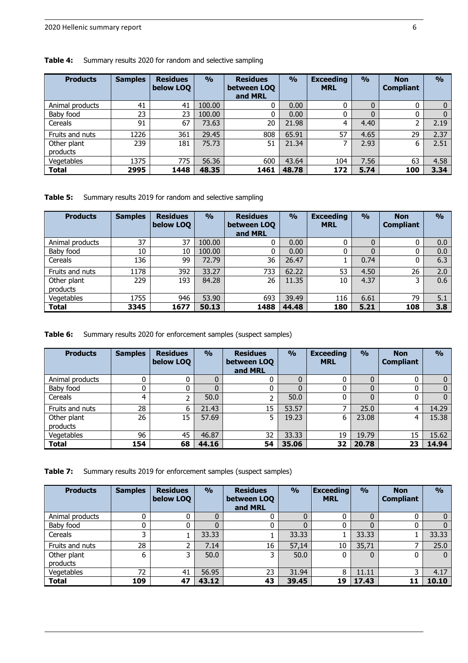| <b>Products</b>         | <b>Samples</b> | <b>Residues</b><br>below LOQ | $\frac{0}{0}$ | <b>Residues</b><br>between LOO<br>and MRL | $\frac{0}{0}$ | <b>Exceeding</b><br><b>MRL</b> | $\frac{0}{0}$ | <b>Non</b><br><b>Compliant</b> | $\frac{O}{O}$ |
|-------------------------|----------------|------------------------------|---------------|-------------------------------------------|---------------|--------------------------------|---------------|--------------------------------|---------------|
| Animal products         | 41             | 41                           | 100.00        | 0                                         | 0.00          |                                | 0             |                                | 0             |
| Baby food               | 23             | 23                           | 100.00        | 0                                         | 0.00          |                                | $\Omega$      |                                |               |
| Cereals                 | 91             | 67                           | 73.63         | 20                                        | 21.98         | 4                              | 4.40          | 2                              | 2.19          |
| Fruits and nuts         | 1226           | 361                          | 29.45         | 808                                       | 65.91         | 57                             | 4.65          | 29                             | 2.37          |
| Other plant<br>products | 239            | 181                          | 75.73         | 51                                        | 21.34         |                                | 2.93          | 6                              | 2.51          |
| Vegetables              | 1375           | 775                          | 56.36         | 600                                       | 43.64         | 104                            | 7.56          | 63                             | 4.58          |
| <b>Total</b>            | 2995           | 1448                         | 48.35         | 1461                                      | 48.78         | 172                            | 5.74          | 100                            | 3.34          |

#### **Table 4:** Summary results 2020 for random and selective sampling

**Table 5:** Summary results 2019 for random and selective sampling

| <b>Products</b>         | <b>Samples</b> | <b>Residues</b><br>below LOQ | $\frac{0}{0}$ | <b>Residues</b><br>between LOO<br>and MRL | $\frac{9}{0}$ | <b>Exceeding</b><br><b>MRL</b> | $\frac{0}{0}$  | <b>Non</b><br><b>Compliant</b> | $\frac{0}{0}$ |
|-------------------------|----------------|------------------------------|---------------|-------------------------------------------|---------------|--------------------------------|----------------|--------------------------------|---------------|
| Animal products         | 37             | 37                           | 100.00        | 0                                         | 0.00          | 0                              | 0              | 0                              | 0.0           |
| Baby food               | 10             | 10                           | 100.00        | 0                                         | 0.00          | 0                              | $\overline{0}$ | 0                              | 0.0           |
| Cereals                 | 136            | 99                           | 72.79         | 36                                        | 26.47         |                                | 0.74           | 0                              | 6.3           |
| Fruits and nuts         | 1178           | 392                          | 33.27         | 733                                       | 62.22         | 53                             | 4.50           | 26                             | 2.0           |
| Other plant<br>products | 229            | 193                          | 84.28         | 26                                        | 11.35         | 10                             | 4.37           | 3                              | 0.6           |
| Vegetables              | 1755           | 946                          | 53.90         | 693                                       | 39.49         | 116                            | 6.61           | 79                             | 5.1           |
| <b>Total</b>            | 3345           | 1677                         | 50.13         | 1488                                      | 44.48         | 180                            | 5.21           | 108                            | 3.8           |

**Table 6:** Summary results 2020 for enforcement samples (suspect samples)

| <b>Products</b>         | <b>Samples</b> | <b>Residues</b><br>below LOQ | $\frac{0}{0}$ | <b>Residues</b><br>between LOQ<br>and MRL | $\frac{0}{0}$ | <b>Exceeding</b><br><b>MRL</b> | $\frac{0}{0}$  | <b>Non</b><br><b>Compliant</b> | $\frac{0}{0}$ |
|-------------------------|----------------|------------------------------|---------------|-------------------------------------------|---------------|--------------------------------|----------------|--------------------------------|---------------|
| Animal products         | 0              | 0                            |               | U                                         |               |                                | 0              | 0                              |               |
| Baby food               |                |                              |               |                                           |               |                                | $\overline{0}$ | 0                              |               |
| Cereals                 | 4              | 2                            | 50.0          |                                           | 50.0          |                                | 0              | 0                              | 0             |
| Fruits and nuts         | 28             | 6                            | 21.43         | 15                                        | 53.57         |                                | 25.0           | 4                              | 14.29         |
| Other plant<br>products | 26             | 15                           | 57.69         | 5                                         | 19.23         | 6                              | 23.08          | 4                              | 15.38         |
| Vegetables              | 96             | 45                           | 46.87         | 32                                        | 33.33         | 19                             | 19.79          | 15                             | 15.62         |
| <b>Total</b>            | 154            | 68                           | 44.16         | 54                                        | 35.06         | 32                             | 20.78          | 23                             | 14.94         |

**Table 7:** Summary results 2019 for enforcement samples (suspect samples)

| <b>Products</b>         | <b>Samples</b> | <b>Residues</b><br>below LOQ | $\frac{0}{0}$ | <b>Residues</b><br>between LOQ<br>and MRL | $\frac{0}{0}$ | Exceeding<br><b>MRL</b> | $\frac{0}{0}$ | <b>Non</b><br><b>Compliant</b> | $\frac{0}{0}$ |
|-------------------------|----------------|------------------------------|---------------|-------------------------------------------|---------------|-------------------------|---------------|--------------------------------|---------------|
| Animal products         |                | 0                            |               |                                           | 0             |                         | 0             | 0                              |               |
| Baby food               |                | 0                            |               |                                           |               |                         | 0             | 0                              |               |
| Cereals                 | 3              | ┻                            | 33.33         |                                           | 33.33         |                         | 33.33         |                                | 33.33         |
| Fruits and nuts         | 28             | 2                            | 7.14          | 16                                        | 57,14         | 10                      | 35,71         | ⇁                              | 25.0          |
| Other plant<br>products | 6              | 3                            | 50.0          |                                           | 50.0          |                         | 0             | 0                              | $\Omega$      |
| Vegetables              | 72             | 41                           | 56.95         | 23                                        | 31.94         | 8                       | 11.11         | 3                              | 4.17          |
| <b>Total</b>            | 109            | 47                           | 43.12         | 43                                        | 39.45         | 19                      | 17.43         | 11                             | 10.10         |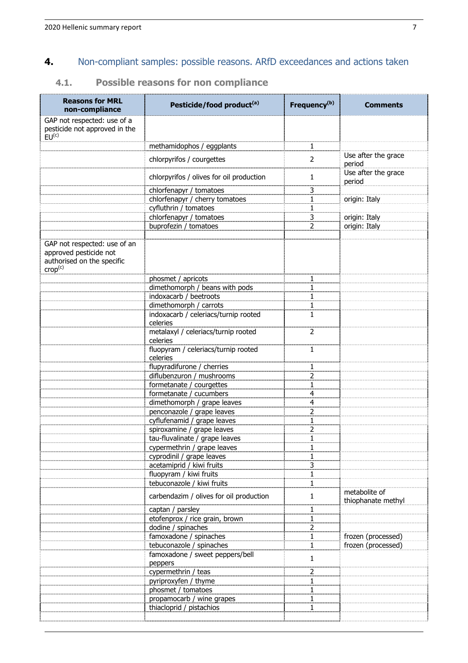# **4.** Non-compliant samples: possible reasons. ARfD exceedances and actions taken

# **4.1. Possible reasons for non compliance**

| <b>Reasons for MRL</b><br>non-compliance                                                                    | Pesticide/food product <sup>(a)</sup>            | Frequency <sup>(b)</sup> | <b>Comments</b>                     |
|-------------------------------------------------------------------------------------------------------------|--------------------------------------------------|--------------------------|-------------------------------------|
| GAP not respected: use of a<br>pesticide not approved in the<br>EU <sup>(c)</sup>                           |                                                  |                          |                                     |
|                                                                                                             | methamidophos / eggplants                        | 1                        |                                     |
|                                                                                                             | chlorpyrifos / courgettes                        | 2                        | Use after the grace<br>period       |
|                                                                                                             | chlorpyrifos / olives for oil production         | 1                        | Use after the grace<br>period       |
|                                                                                                             | chlorfenapyr / tomatoes                          | 3                        |                                     |
|                                                                                                             | chlorfenapyr / cherry tomatoes                   | 1                        | origin: Italy                       |
|                                                                                                             | cyfluthrin / tomatoes                            | 1                        |                                     |
|                                                                                                             | chlorfenapyr / tomatoes                          | 3                        | origin: Italy                       |
|                                                                                                             | buprofezin / tomatoes                            | 2                        | origin: Italy                       |
|                                                                                                             |                                                  |                          |                                     |
| GAP not respected: use of an<br>approved pesticide not<br>authorised on the specific<br>Crop <sup>(c)</sup> |                                                  |                          |                                     |
|                                                                                                             | phosmet / apricots                               | 1                        |                                     |
|                                                                                                             | dimethomorph / beans with pods                   | 1                        |                                     |
|                                                                                                             | indoxacarb / beetroots                           | 1                        |                                     |
|                                                                                                             | dimethomorph / carrots                           | 1                        |                                     |
|                                                                                                             | indoxacarb / celeriacs/turnip rooted<br>celeries | $\mathbf{1}$             |                                     |
|                                                                                                             | metalaxyl / celeriacs/turnip rooted<br>celeries  | $\overline{2}$           |                                     |
|                                                                                                             | fluopyram / celeriacs/turnip rooted<br>celeries  | 1                        |                                     |
|                                                                                                             | flupyradifurone / cherries                       | 1                        |                                     |
|                                                                                                             | diflubenzuron / mushrooms                        | 2                        |                                     |
|                                                                                                             | formetanate / courgettes                         | 1                        |                                     |
|                                                                                                             | formetanate / cucumbers                          | 4                        |                                     |
|                                                                                                             | dimethomorph / grape leaves                      | 4                        |                                     |
|                                                                                                             | penconazole / grape leaves                       | 2                        |                                     |
|                                                                                                             | cyflufenamid / grape leaves                      | 1                        |                                     |
|                                                                                                             | spiroxamine / grape leaves                       | 2                        |                                     |
|                                                                                                             | tau-fluvalinate / grape leaves                   | 1                        |                                     |
|                                                                                                             | <u>cypermethrin / grape leaves</u>               |                          |                                     |
|                                                                                                             | cyprodinil / grape leaves                        | 1                        |                                     |
|                                                                                                             | acetamiprid / kiwi fruits                        | 3                        |                                     |
|                                                                                                             | fluopyram / kiwi fruits                          | 1                        |                                     |
|                                                                                                             | tebuconazole / kiwi fruits                       | $\mathbf{1}$             |                                     |
|                                                                                                             | carbendazim / olives for oil production          | 1                        | metabolite of<br>thiophanate methyl |
|                                                                                                             | captan / parsley                                 | 1                        |                                     |
|                                                                                                             | etofenprox / rice grain, brown                   | 1                        |                                     |
|                                                                                                             | dodine / spinaches                               | 2                        |                                     |
|                                                                                                             | famoxadone / spinaches                           | 1                        | frozen (processed)                  |
|                                                                                                             | tebuconazole / spinaches                         | 1                        | frozen (processed)                  |
|                                                                                                             | famoxadone / sweet peppers/bell<br>peppers       | 1                        |                                     |
|                                                                                                             | cypermethrin / teas                              | 2                        |                                     |
|                                                                                                             | pyriproxyfen / thyme                             | 1                        |                                     |
|                                                                                                             | phosmet / tomatoes                               | 1                        |                                     |
|                                                                                                             | propamocarb / wine grapes                        | 1                        |                                     |
|                                                                                                             | thiacloprid / pistachios                         | 1                        |                                     |
|                                                                                                             |                                                  |                          |                                     |
|                                                                                                             |                                                  |                          |                                     |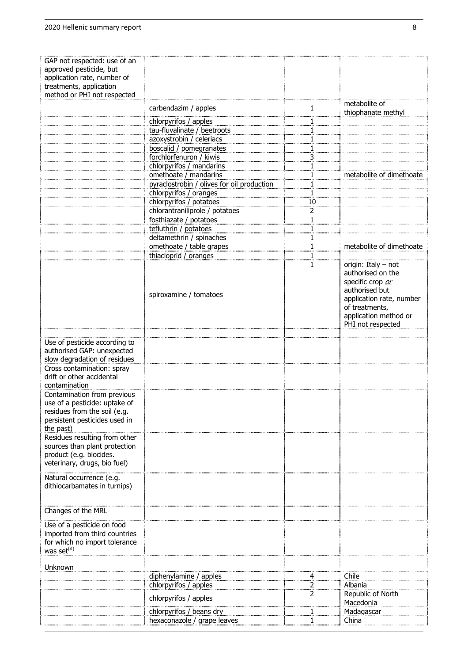| GAP not respected: use of an  |                                            |    |                          |
|-------------------------------|--------------------------------------------|----|--------------------------|
| approved pesticide, but       |                                            |    |                          |
| application rate, number of   |                                            |    |                          |
| treatments, application       |                                            |    |                          |
|                               |                                            |    |                          |
| method or PHI not respected   |                                            |    |                          |
|                               | carbendazim / apples                       | 1  | metabolite of            |
|                               |                                            |    | thiophanate methyl       |
|                               | chlorpyrifos / apples                      | 1  |                          |
|                               | tau-fluvalinate / beetroots                | 1  |                          |
|                               | azoxystrobin / celeriacs                   | 1  |                          |
|                               | boscalid / pomegranates                    | 1  |                          |
|                               |                                            |    |                          |
|                               | forchlorfenuron / kiwis                    | 3  |                          |
|                               | chlorpyrifos / mandarins                   | 1  |                          |
|                               | omethoate / mandarins                      | 1  | metabolite of dimethoate |
|                               | pyraclostrobin / olives for oil production | 1  |                          |
|                               | chlorpyrifos / oranges                     | 1  |                          |
|                               | chlorpyrifos / potatoes                    | 10 |                          |
|                               |                                            |    |                          |
|                               | chlorantraniliprole / potatoes             | 2  |                          |
|                               | fosthiazate / potatoes                     | 1  |                          |
|                               | tefluthrin / potatoes                      | 1  |                          |
|                               | deltamethrin / spinaches                   | 1  |                          |
|                               | omethoate / table grapes                   | 1  | metabolite of dimethoate |
|                               | thiacloprid / oranges                      | 1  |                          |
|                               |                                            |    |                          |
|                               |                                            | 1  | origin: Italy - not      |
|                               |                                            |    | authorised on the        |
|                               |                                            |    | specific crop or         |
|                               |                                            |    | authorised but           |
|                               | spiroxamine / tomatoes                     |    | application rate, number |
|                               |                                            |    | of treatments,           |
|                               |                                            |    | application method or    |
|                               |                                            |    | PHI not respected        |
|                               |                                            |    |                          |
|                               |                                            |    |                          |
| Use of pesticide according to |                                            |    |                          |
| authorised GAP: unexpected    |                                            |    |                          |
| slow degradation of residues  |                                            |    |                          |
| Cross contamination: spray    |                                            |    |                          |
| drift or other accidental     |                                            |    |                          |
| contamination                 |                                            |    |                          |
|                               |                                            |    |                          |
| Contamination from previous   |                                            |    |                          |
| use of a pesticide: uptake of |                                            |    |                          |
| residues from the soil (e.g.  |                                            |    |                          |
| persistent pesticides used in |                                            |    |                          |
| the past)                     |                                            |    |                          |
| Residues resulting from other |                                            |    |                          |
| sources than plant protection |                                            |    |                          |
| product (e.g. biocides.       |                                            |    |                          |
| veterinary, drugs, bio fuel)  |                                            |    |                          |
|                               |                                            |    |                          |
| Natural occurrence (e.g.      |                                            |    |                          |
|                               |                                            |    |                          |
| dithiocarbamates in turnips)  |                                            |    |                          |
|                               |                                            |    |                          |
|                               |                                            |    |                          |
| Changes of the MRL            |                                            |    |                          |
| Use of a pesticide on food    |                                            |    |                          |
|                               |                                            |    |                          |
| imported from third countries |                                            |    |                          |
| for which no import tolerance |                                            |    |                          |
| was set <sup>(d)</sup>        |                                            |    |                          |
|                               |                                            |    |                          |
| Unknown                       |                                            |    |                          |
|                               | diphenylamine / apples                     | 4  | Chile                    |
|                               | chlorpyrifos / apples                      | 2  | Albania                  |
|                               |                                            | 2  | Republic of North        |
|                               | chlorpyrifos / apples                      |    | Macedonia                |
|                               | chlorpyrifos / beans dry                   | 1  | Madagascar               |
|                               |                                            |    | China                    |
|                               | hexaconazole / grape leaves                | 1  |                          |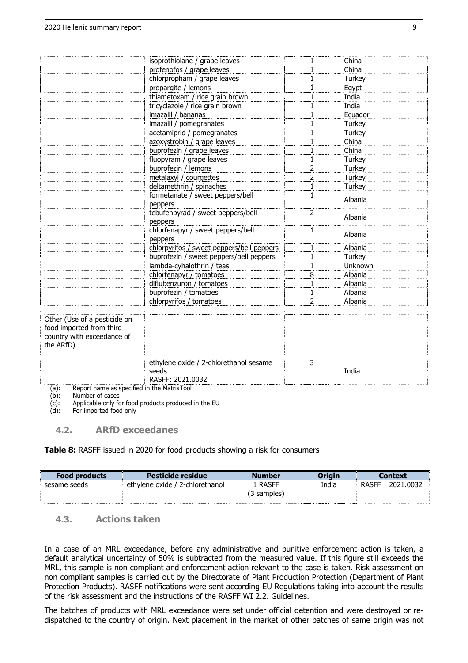|                              | isoprothiolane / grape leaves             | 1              | China   |
|------------------------------|-------------------------------------------|----------------|---------|
|                              |                                           |                |         |
|                              | profenofos / grape leaves                 | 1              | China   |
|                              | chlorpropham / grape leaves               | 1              | Turkey  |
|                              | propargite / lemons                       | 1              | Egypt   |
|                              | thiametoxam / rice grain brown            | 1              | India   |
|                              | tricyclazole / rice grain brown           | 1              | India   |
|                              | imazalil / bananas                        | 1              | Ecuador |
|                              | imazalil / pomegranates                   | 1              | Turkey  |
|                              | acetamiprid / pomegranates                | 1              | Turkey  |
|                              | azoxystrobin / grape leaves               | 1              | China   |
|                              | buprofezin / grape leaves                 | 1              | China   |
|                              | fluopyram / grape leaves                  | 1              | Turkey  |
|                              | buprofezin / lemons                       | $\overline{2}$ | Turkey  |
|                              | metalaxyl / courgettes                    | $\overline{c}$ | Turkey  |
|                              | deltamethrin / spinaches                  | 1              | Turkey  |
|                              | formetanate / sweet peppers/bell          | 1              |         |
|                              | peppers                                   |                | Albania |
|                              | tebufenpyrad / sweet peppers/bell         | 2              |         |
|                              | peppers                                   |                | Albania |
|                              | chlorfenapyr / sweet peppers/bell         | 1              |         |
|                              | peppers                                   |                | Albania |
|                              | chlorpyrifos / sweet peppers/bell peppers | $\overline{1}$ | Albania |
|                              | buprofezin / sweet peppers/bell peppers   | 1              | Turkey  |
|                              | lambda-cyhalothrin / teas                 | $\overline{1}$ | Unknown |
|                              | chlorfenapyr / tomatoes                   | 8              | Albania |
|                              | diflubenzuron / tomatoes                  | 1              | Albania |
|                              | buprofezin / tomatoes                     | 1              | Albania |
|                              | chlorpyrifos / tomatoes                   | 2              | Albania |
|                              |                                           |                |         |
| Other (Use of a pesticide on |                                           |                |         |
| food imported from third     |                                           |                |         |
| country with exceedance of   |                                           |                |         |
| the ARfD)                    |                                           |                |         |
|                              |                                           |                |         |
|                              | ethylene oxide / 2-chlorethanol sesame    | 3              |         |
|                              | seeds                                     |                | India   |
|                              | RASFF: 2021.0032                          |                |         |
|                              | cified in the MatrixTeel                  |                |         |

(a): Report name as specified in the MatrixTool

Number of cases

(c): Applicable only for food products produced in the EU  $(d)$ : For imported food only

For imported food only

# **4.2. ARfD exceedanes**

**Table 8:** RASFF issued in 2020 for food products showing a risk for consumers

| <b>Food products</b> | Pesticide residue               | <b>Number</b>          | Origin | Context                   |
|----------------------|---------------------------------|------------------------|--------|---------------------------|
| sesame seeds         | ethylene oxide / 2-chlorethanol | 1 RASFF<br>(3 samples) | India  | 2021.0032<br><b>RASFF</b> |

#### **4.3. Actions taken**

In a case of an MRL exceedance, before any administrative and punitive enforcement action is taken, a default analytical uncertainty of 50% is subtracted from the measured value. If this figure still exceeds the MRL, this sample is non compliant and enforcement action relevant to the case is taken. Risk assessment on non compliant samples is carried out by the Directorate of Plant Production Protection (Department of Plant Protection Products). RASFF notifications were sent according EU Regulations taking into account the results of the risk assessment and the instructions of the RASFF WI 2.2. Guidelines.

The batches of products with MRL exceedance were set under official detention and were destroyed or redispatched to the country of origin. Next placement in the market of other batches of same origin was not